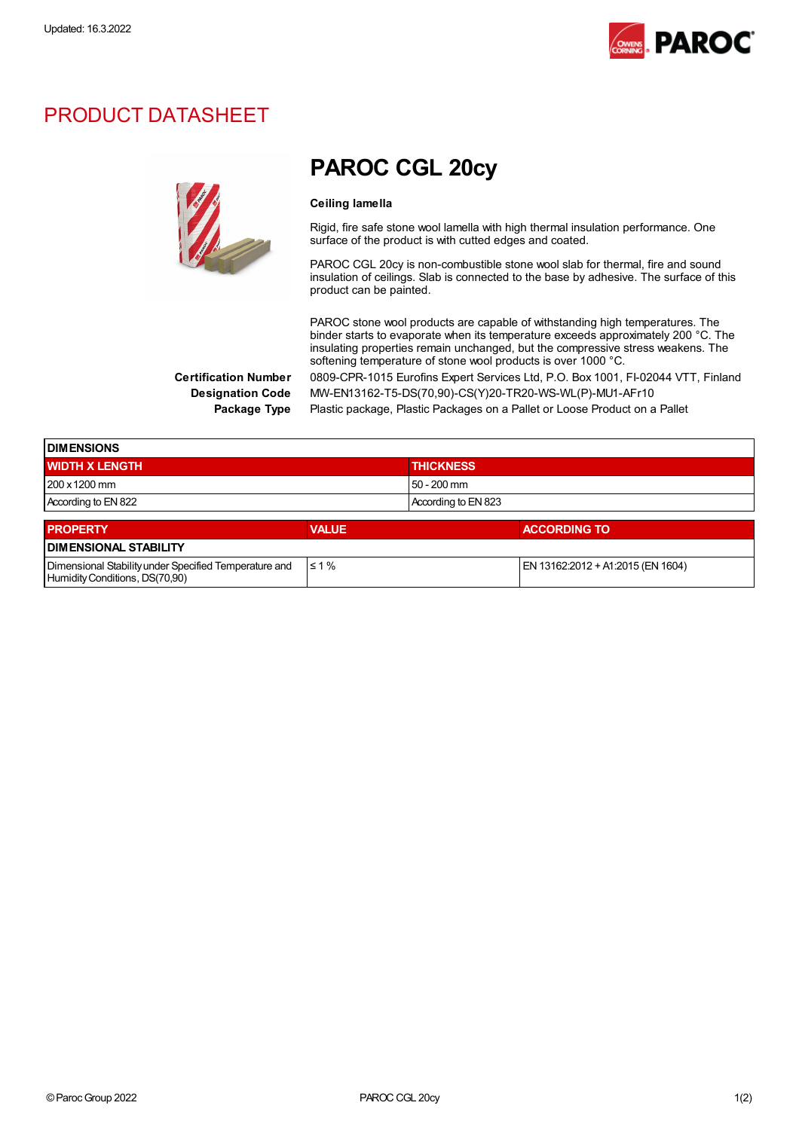

### PRODUCT DATASHEET



## PAROC CGL 20cy

#### Ceiling lamella

Rigid, fire safe stone wool lamella with high thermal insulation performance. One surface of the product is with cutted edges and coated.

PAROC CGL 20cy is non-combustible stone wool slab for thermal, fire and sound insulation of ceilings. Slab is connected to the base by adhesive. The surface of this product can be painted.

PAROC stone wool products are capable of withstanding high temperatures. The binder starts to evaporate when its temperature exceeds approximately 200 °C. The insulating properties remain unchanged, but the compressive stress weakens. The softening temperature of stone wool products is over 1000 °C.

Certification Number 0809-CPR-1015 Eurofins Expert Services Ltd, P.O. Box 1001, FI-02044 VTT, Finland Designation Code MW-EN13162-T5-DS(70,90)-CS(Y)20-TR20-WS-WL(P)-MU1-AFr10

Package Type Plastic package, Plastic Packages on a Pallet or Loose Product on a Pallet

| <b>IDIMENSIONS</b>                                    |              |                                   |  |  |  |
|-------------------------------------------------------|--------------|-----------------------------------|--|--|--|
| <b>WIDTH X LENGTH</b>                                 |              | <b>THICKNESS</b>                  |  |  |  |
| 1200 x 1200 mm                                        |              | 50 - 200 mm                       |  |  |  |
| According to EN 822                                   |              | According to EN 823               |  |  |  |
| <b>PROPERTY</b>                                       | <b>VALUE</b> | <b>ACCORDING TO</b>               |  |  |  |
| <b>DIMENSIONAL STABILITY</b>                          |              |                                   |  |  |  |
| Dimensional Stability under Specified Temperature and | $\leq 1\%$   | EN 13162:2012 + A1:2015 (EN 1604) |  |  |  |

Humidity Conditions, DS(70,90)

©ParocGroup 2022 PAROCCGL 20cy 1(2)